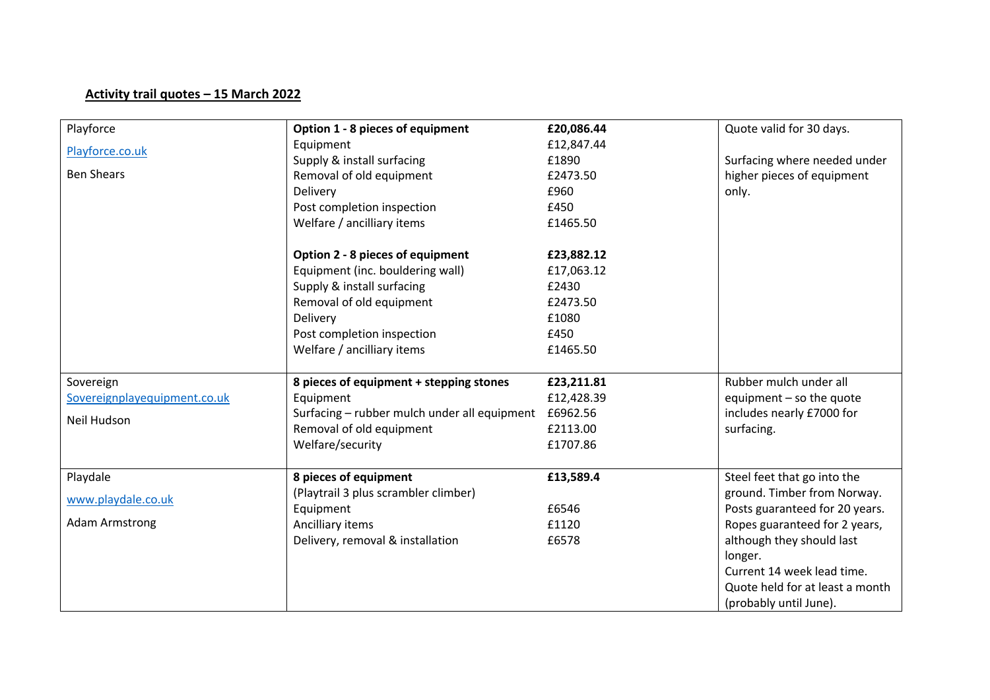## **Activity trail quotes – 15 March 2022**

| Playforce                    | Option 1 - 8 pieces of equipment                      | £20,086.44 | Quote valid for 30 days.        |
|------------------------------|-------------------------------------------------------|------------|---------------------------------|
| Playforce.co.uk              | Equipment                                             | £12,847.44 |                                 |
|                              | Supply & install surfacing                            | £1890      | Surfacing where needed under    |
| <b>Ben Shears</b>            | Removal of old equipment                              | £2473.50   | higher pieces of equipment      |
|                              | Delivery                                              | £960       | only.                           |
|                              | Post completion inspection                            | £450       |                                 |
|                              | Welfare / ancilliary items                            | £1465.50   |                                 |
|                              | Option 2 - 8 pieces of equipment                      | £23,882.12 |                                 |
|                              | Equipment (inc. bouldering wall)                      | £17,063.12 |                                 |
|                              | Supply & install surfacing                            | £2430      |                                 |
|                              | Removal of old equipment                              | £2473.50   |                                 |
|                              | Delivery                                              | £1080      |                                 |
|                              | Post completion inspection                            | £450       |                                 |
|                              | Welfare / ancilliary items                            | £1465.50   |                                 |
| Sovereign                    | 8 pieces of equipment + stepping stones               | £23,211.81 | Rubber mulch under all          |
| Sovereignplayequipment.co.uk | Equipment                                             | £12,428.39 | equipment - so the quote        |
|                              | Surfacing - rubber mulch under all equipment £6962.56 |            | includes nearly £7000 for       |
| Neil Hudson                  | Removal of old equipment                              | £2113.00   | surfacing.                      |
|                              | Welfare/security                                      | £1707.86   |                                 |
| Playdale                     | 8 pieces of equipment                                 | £13,589.4  | Steel feet that go into the     |
|                              | (Playtrail 3 plus scrambler climber)                  |            | ground. Timber from Norway.     |
| www.playdale.co.uk           | Equipment                                             | £6546      | Posts guaranteed for 20 years.  |
| <b>Adam Armstrong</b>        | Ancilliary items                                      | £1120      | Ropes guaranteed for 2 years,   |
|                              | Delivery, removal & installation                      | £6578      | although they should last       |
|                              |                                                       |            | longer.                         |
|                              |                                                       |            | Current 14 week lead time.      |
|                              |                                                       |            | Quote held for at least a month |
|                              |                                                       |            | (probably until June).          |